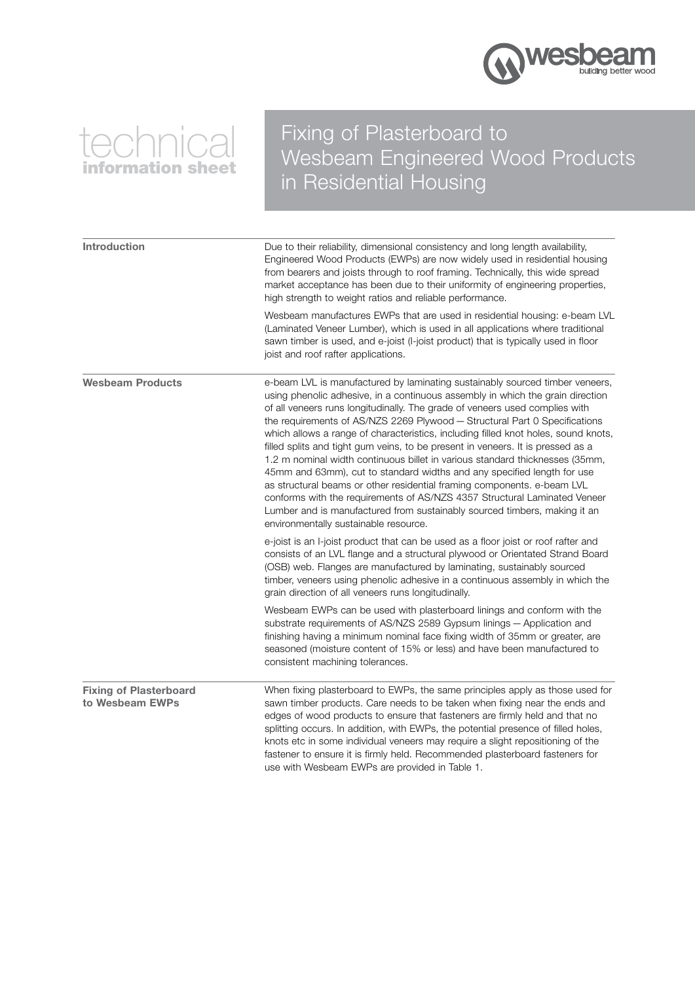

# technical information sheet

## Fixing of Plasterboard to Wesbeam Engineered Wood Products in Residential Housing

| Introduction                                     | Due to their reliability, dimensional consistency and long length availability,<br>Engineered Wood Products (EWPs) are now widely used in residential housing<br>from bearers and joists through to roof framing. Technically, this wide spread<br>market acceptance has been due to their uniformity of engineering properties,<br>high strength to weight ratios and reliable performance.                                                                                                                                                                                                                                                                                                                                                                                                                                                                                                                                                  |  |
|--------------------------------------------------|-----------------------------------------------------------------------------------------------------------------------------------------------------------------------------------------------------------------------------------------------------------------------------------------------------------------------------------------------------------------------------------------------------------------------------------------------------------------------------------------------------------------------------------------------------------------------------------------------------------------------------------------------------------------------------------------------------------------------------------------------------------------------------------------------------------------------------------------------------------------------------------------------------------------------------------------------|--|
|                                                  | Wesbeam manufactures EWPs that are used in residential housing: e-beam LVL<br>(Laminated Veneer Lumber), which is used in all applications where traditional<br>sawn timber is used, and e-joist (I-joist product) that is typically used in floor<br>joist and roof rafter applications.                                                                                                                                                                                                                                                                                                                                                                                                                                                                                                                                                                                                                                                     |  |
| <b>Wesbeam Products</b>                          | e-beam LVL is manufactured by laminating sustainably sourced timber veneers,<br>using phenolic adhesive, in a continuous assembly in which the grain direction<br>of all veneers runs longitudinally. The grade of veneers used complies with<br>the requirements of AS/NZS 2269 Plywood - Structural Part 0 Specifications<br>which allows a range of characteristics, including filled knot holes, sound knots,<br>filled splits and tight gum veins, to be present in veneers. It is pressed as a<br>1.2 m nominal width continuous billet in various standard thicknesses (35mm,<br>45mm and 63mm), cut to standard widths and any specified length for use<br>as structural beams or other residential framing components. e-beam LVL<br>conforms with the requirements of AS/NZS 4357 Structural Laminated Veneer<br>Lumber and is manufactured from sustainably sourced timbers, making it an<br>environmentally sustainable resource. |  |
|                                                  | e-joist is an I-joist product that can be used as a floor joist or roof rafter and<br>consists of an LVL flange and a structural plywood or Orientated Strand Board<br>(OSB) web. Flanges are manufactured by laminating, sustainably sourced<br>timber, veneers using phenolic adhesive in a continuous assembly in which the<br>grain direction of all veneers runs longitudinally.                                                                                                                                                                                                                                                                                                                                                                                                                                                                                                                                                         |  |
|                                                  | Wesbeam EWPs can be used with plasterboard linings and conform with the<br>substrate requirements of AS/NZS 2589 Gypsum linings - Application and<br>finishing having a minimum nominal face fixing width of 35mm or greater, are<br>seasoned (moisture content of 15% or less) and have been manufactured to<br>consistent machining tolerances.                                                                                                                                                                                                                                                                                                                                                                                                                                                                                                                                                                                             |  |
| <b>Fixing of Plasterboard</b><br>to Wesbeam EWPs | When fixing plasterboard to EWPs, the same principles apply as those used for<br>sawn timber products. Care needs to be taken when fixing near the ends and<br>edges of wood products to ensure that fasteners are firmly held and that no<br>splitting occurs. In addition, with EWPs, the potential presence of filled holes,<br>knots etc in some individual veneers may require a slight repositioning of the<br>fastener to ensure it is firmly held. Recommended plasterboard fasteners for<br>use with Wesbeam EWPs are provided in Table 1.                                                                                                                                                                                                                                                                                                                                                                                           |  |